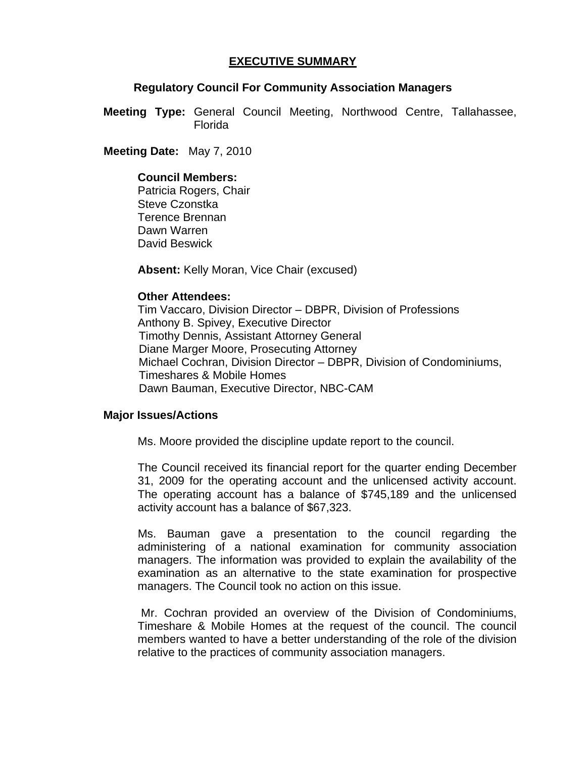# **EXECUTIVE SUMMARY**

#### **Regulatory Council For Community Association Managers**

**Meeting Type:** General Council Meeting, Northwood Centre, Tallahassee, Florida

 **Meeting Date:** May 7, 2010

### **Council Members:**

Patricia Rogers, Chair Steve Czonstka Terence Brennan Dawn Warren David Beswick

**Absent:** Kelly Moran, Vice Chair (excused)

### **Other Attendees:**

Tim Vaccaro, Division Director – DBPR, Division of Professions Anthony B. Spivey, Executive Director Timothy Dennis, Assistant Attorney General Diane Marger Moore, Prosecuting Attorney Michael Cochran, Division Director – DBPR, Division of Condominiums, Timeshares & Mobile Homes Dawn Bauman, Executive Director, NBC-CAM

## **Major Issues/Actions**

Ms. Moore provided the discipline update report to the council.

 The Council received its financial report for the quarter ending December 31, 2009 for the operating account and the unlicensed activity account. The operating account has a balance of \$745,189 and the unlicensed activity account has a balance of \$67,323.

 Ms. Bauman gave a presentation to the council regarding the administering of a national examination for community association managers. The information was provided to explain the availability of the examination as an alternative to the state examination for prospective managers. The Council took no action on this issue.

 Mr. Cochran provided an overview of the Division of Condominiums, Timeshare & Mobile Homes at the request of the council. The council members wanted to have a better understanding of the role of the division relative to the practices of community association managers.